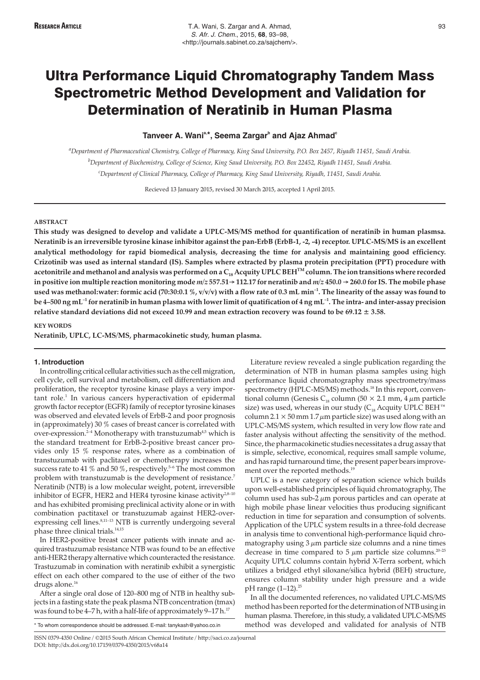# Tanveer A. Wani<sup>a,\*</sup>, Seema Zargar<sup>b</sup> and Ajaz Ahmad<sup>c</sup>

*a Department of Pharmaceutical Chemistry, College of Pharmacy, King Saud University, P.O. Box 2457, Riyadh 11451, Saudi Arabia. b Department of Biochemistry, College of Science, King Saud University, P.O. Box 22452, Riyadh 11451, Saudi Arabia. c Department of Clinical Pharmacy, College of Pharmacy, King Saud University, Riyadh, 11451, Saudi Arabia.*

Recieved 13 January 2015, revised 30 March 2015, accepted 1 April 2015.

## **ABSTRACT**

**This study was designed to develop and validate a UPLC-MS/MS method for quantification of neratinib in human plasmsa. Neratinib is an irreversible tyrosine kinase inhibitor against the pan-ErbB (ErbB-1, -2, -4) receptor. UPLC-MS/MS is an excellent analytical methodology for rapid biomedical analysis, decreasing the time for analysis and maintaining good efficiency. Crizotinib was used as internal standard (IS). Samples where extracted by plasma protein precipitation (PPT) procedure with acetonitrile and methanol and analysis was performed on a C18 Acquity UPLC BEHTM column. The ion transitions where recorded** in positive ion multiple reaction monitoring mode  $m/z$  **557.51** $\rightarrow$  **112.17** for neratinib and  $m/z$  **450.0**  $\rightarrow$  **260.0** for IS. The mobile phase **used was methanol:water: formic acid (70:30:0.1 %, v/v/v) with a flow rate of 0.3 mL min–1. The linearity of the assay was found to be 4–500 ng mL–1 for neratinib in human plasma with lower limit of quatification of 4 ng mL–1. The intra- and inter-assay precision relative standard deviations did not exceed 10.99 and mean extraction recovery was found to be 69.12 ± 3.58.**

## **KEY WORDS**

**Neratinib, UPLC, LC-MS/MS, pharmacokinetic study, human plasma.**

#### **1. Introduction**

In controlling critical cellular activities such as the cell migration, cell cycle, cell survival and metabolism, cell differentiation and proliferation, the receptor tyrosine kinase plays a very important role.<sup>1</sup> In various cancers hyperactivation of epidermal growth factor receptor (EGFR) family of receptor tyrosine kinases was observed and elevated levels of ErbB-2 and poor prognosis in (approximately) 30 % cases of breast cancer is correlated with over-expression.2–4 Monotherapy with transtuzumab4,5 which is the standard treatment for ErbB-2-positive breast cancer provides only 15 % response rates, where as a combination of transtuzumab with paclitaxel or chemotherapy increases the success rate to 41  $\%$  and 50  $\%$ , respectively.<sup>5-6</sup> The most common problem with transtuzumab is the development of resistance.<sup>7</sup> Neratinib (NTB) is a low molecular weight, potent, irreversible inhibitor of EGFR, HER2 and HER4 tyrosine kinase activity $28-10$ and has exhibited promising preclinical activity alone or in with combination pactitaxel or transtuzumab against HER2-overexpressing cell lines.<sup>8,11-13</sup> NTB is currently undergoing several phase three clinical trials.<sup>14,15</sup>

In HER2-positive breast cancer patients with innate and acquired trastuzumab resistance NTB was found to be an effective anti-HER2 therapy alternative which counteracted the resistance. Trastuzumab in comination with neratinib exhibit a synergistic effect on each other compared to the use of either of the two drugs alone.<sup>16</sup>

After a single oral dose of 120–800 mg of NTB in healthy subjects in a fasting state the peak plasma NTB concentration (tmax) was found to be 4–7 h, with a half-life of approximately 9–17 h.<sup>17</sup>

Literature review revealed a single publication regarding the determination of NTB in human plasma samples using high performance liquid chromatography mass spectrometry/mass spectrometry (HPLC-MS/MS) methods.<sup>18</sup> In this report, conventional column (Genesis C<sub>18</sub> column (50  $\times$  2.1 mm, 4  $\mu$ m particle size) was used, whereas in our study ( $C_{18}$  Acquity UPLC BEH<sup>™</sup> column  $2.1 \times 50$  mm  $1.7 \mu$ m particle size) was used along with an UPLC-MS/MS system, which resulted in very low flow rate and faster analysis without affecting the sensitivity of the method. Since, the pharmacokinetic studies necessitates a drug assay that is simple, selective, economical, requires small sample volume, and has rapid turnaround time, the present paper bears improvement over the reported methods.<sup>19</sup>

UPLC is a new category of separation science which builds upon well-established principles of liquid chromatography, The column used has sub-2 $\mu$ m porous particles and can operate at high mobile phase linear velocities thus producing significant reduction in time for separation and consumption of solvents. Application of the UPLC system results in a three-fold decrease in analysis time to conventional high-performance liquid chromatography using  $3 \mu m$  particle size columns and a nine times decrease in time compared to 5  $\mu$ m particle size columns.<sup>20-25</sup> Acquity UPLC columns contain hybrid X-Terra sorbent, which utilizes a bridged ethyl siloxane/silica hybrid (BEH) structure, ensures column stability under high pressure and a wide  $pH$  range  $(1-12).^{25}$ 

In all the documented references, no validated UPLC-MS/MS method has been reported for the determination of NTB using in human plasma. Therefore, in this study, a validated UPLC-MS/MS method was developed and validated for analysis of NTB

\* To whom correspondence should be addressed. E-mail: tanykash@yahoo.co.in

ISSN 0379-4350 Online / ©2015 South African Chemical Institute / http://saci.co.za/journal DOI: http://dx.doi.org/10.17159/0379-4350/2015/v68a14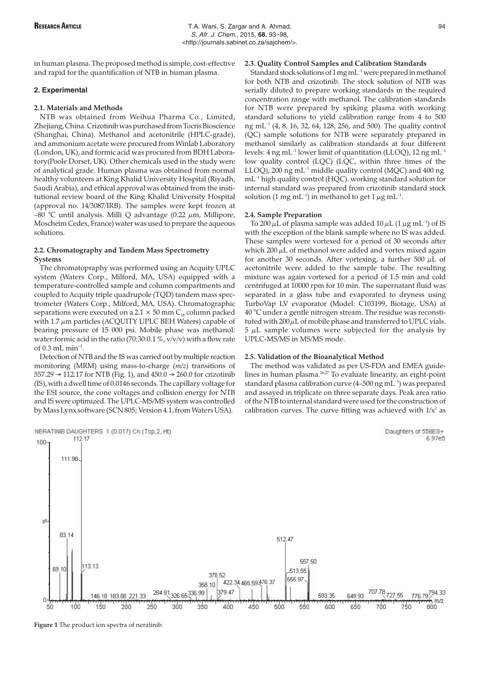in human plasma. The proposed method is simple, cost-effective and rapid for the quantification of NTB in human plasma.

#### **2. Experimental**

#### **2.1. Materials and Methods**

NTB was obtained from Weihua Pharma Co., Limited, Zhejiang, China. Crizotinib was purchased from Tocris Bioscience (Shanghai, China). Methanol and acetonitrile (HPLC-grade), and ammonium acetate were procured from Winlab Laboratory (London, UK), and formic acid was procured from BDH Laboratory(Poole Dorset, UK). Other chemicals used in the study were of analytical grade. Human plasma was obtained from normal healthy volunteers at King Khalid University Hospital (Riyadh, Saudi Arabia), and ethical approval was obtained from the institutional review board of the King Khalid University Hospital (approval no. 14/3087/IRB). The samples were kept frozen at –80 °C until analysis. Milli Q advantage (0.22  $\mu$ m, Millipore, Moscheim Cedex, France) water was used to prepare the aqueous solutions.

## **2.2. Chromatography and Tandem Mass Spectrometry Systems**

The chromatopraphy was performed using an Acquity UPLC system (Waters Corp., Milford, MA, USA) equipped with a temperature-controlled sample and column compartments and coupled to Acquity triple quadrupole (TQD) tandem mass spectrometer (Waters Corp., Milford, MA, USA). Chromatographic separations were executed on a  $2.1 \times 50$  mm C<sub>18</sub> column packed with  $1.7 \mu m$  particles (ACQUITY UPLC BEH Waters) capable of bearing pressure of 15 000 psi. Mobile phase was methanol: water:formic acid in the ratio (70:30:0.1 %, v/v/v) with a flow rate of  $0.3$  mL min<sup>-1</sup>.

Detection of NTB and the IS was carried out by multiple reaction monitoring (MRM) using mass-to-charge (*m/z*) transitions of 557.29  $\rightarrow$  112.17 for NTB (Fig. 1), and 450.0  $\rightarrow$  260.0 for crizotinib (IS), with a dwell time of 0.0146 seconds. The capillary voltage for the ESI source, the cone voltages and collision energy for NTB and IS were optimized. The UPLC-MS/MS system was controlled by Mass Lynx software (SCN 805; Version 4.1, from Waters USA).



Standard stock solutions of  $1 \text{ mg} \text{ mL}^{-1}$  were prepared in methanol for both NTB and crizotinib. The stock solution of NTB was serially diluted to prepare working standards in the required concentration range with methanol. The calibration standards for NTB were prepared by spiking plasma with working standard solutions to yield calibration range from 4 to 500 ng mL<sup>-1</sup> (4, 8, 16, 32, 64, 128, 256, and 500). The quality control (QC) sample solutions for NTB were separately prepared in methanol similarly as calibration standards at four different levels:  $4 \text{ ng } mL^{-1}$  lower limit of quantitation (LLOQ),  $12 \text{ ng } mL^{-1}$ low quality control (LQC) (LQC, within three times of the LLOQ), 200 ng mL $^{-1}$  middle quality control (MQC) and 400 ng  $mL^{-1}$  high quality control (HQC). working standard solution for internal standard was prepared from crizotinib standard stock solution (1 mg mL<sup>-1</sup>) in methanol to get  $1 \mu$ g mL<sup>-1</sup>.

#### **2.4. Sample Preparation**

To 200  $\mu$ L of plasma sample was added 10  $\mu$ L (1  $\mu$ g mL<sup>-1</sup>) of IS with the exception of the blank sample where no IS was added. These samples were vortexed for a period of 30 seconds after which  $200 \mu L$  of methanol were added and vortex mixed again for another 30 seconds. After vortexing, a further 500  $\mu$ L of acetonitrile were added to the sample tube. The resulting mixture was again vortexed for a period of 1.5 min and cold centrifuged at 10000 rpm for 10 min. The supernatant fluid was separated in a glass tube and evaporated to dryness using TurboVap LV evaporator (Model: C103199, Biotage, USA) at 40 °C under a gentle nitrogen stream. The residue was reconstituted with  $200 \mu L$  of mobile phase and transferred to UPLC vials.  $5 \mu$ L sample volumes were subjected for the analysis by UPLC-MS/MS in MS/MS mode.

# **2.5. Validation of the Bioanalytical Method**

The method was validated as per US-FDA and EMEA guidelines in human plasma.26,27 To evaluate linearity, an eight-point standard plasma calibration curve (4-500 ng mL<sup>-1</sup>) was prepared and assayed in triplicate on three separate days. Peak area ratio of the NTB to internal standard were used for the construction of calibration curves. The curve fitting was achieved with  $1/x^2$  as



**Figure 1** The product ion spectra of neratinib.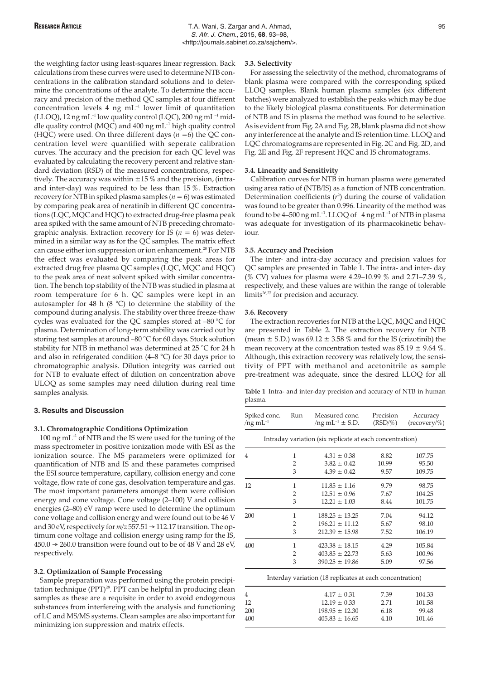the weighting factor using least-squares linear regression. Back calculations from these curves were used to determine NTB concentrations in the calibration standard solutions and to determine the concentrations of the analyte. To determine the accuracy and precision of the method QC samples at four different concentration levels 4 ng  $mL^{-1}$  lower limit of quantitation (LLOQ), 12 ng mL<sup>-1</sup> low quality control (LQC), 200 ng mL<sup>-1</sup> middle quality control (MQC) and 400 ng  $mL^{-1}$  high quality control (HQC) were used. On three different days (*n* =6) the QC concentration level were quantified with seperate calibration curves. The accuracy and the precision for each QC level was evaluated by calculating the recovery percent and relative standard deviation (RSD) of the measured concentrations, respectively. The accuracy was within  $\pm 15$  % and the precision, (intraand inter-day) was required to be less than 15 %. Extraction recovery for NTB in spiked plasma samples ( $n = 6$ ) was estimated by comparing peak area of neratinib in different QC concentrations (LQC, MQC and HQC) to extracted drug-free plasma peak area spiked with the same amount of NTB preceding chromatographic analysis. Extraction recovery for IS ( $n = 6$ ) was determined in a similar way as for the QC samples. The matrix effect can cause either ion suppression or ion enhancement.<sup>28</sup> For NTB the effect was evaluated by comparing the peak areas for extracted drug free plasma QC samples (LQC, MQC and HQC) to the peak area of neat solvent spiked with similar concentration. The bench top stability of the NTB was studied in plasma at room temperature for 6 h. QC samples were kept in an autosampler for 48 h (8 °C) to determine the stability of the compound during analysis. The stability over three freeze-thaw cycles was evaluated for the QC samples stored at –80 °C for plasma. Determination of long-term stability was carried out by storing test samples at around –80 °C for 60 days. Stock solution stability for NTB in methanol was determined at 25 °C for 24 h and also in refrigerated condition (4–8 °C) for 30 days prior to chromatographic analysis. Dilution integrity was carried out for NTB to evaluate effect of dilution on concentration above ULOQ as some samples may need dilution during real time samples analysis.

## **3. Results and Discussion**

## **3.1. Chromatographic Conditions Optimization**

100 ng mL<sup>-1</sup> of NTB and the IS were used for the tuning of the mass spectrometer in positive ionization mode with ESI as the ionization source. The MS parameters were optimized for quantification of NTB and IS and these parametes comprised the ESI source temperature, capillary, collision energy and cone voltage, flow rate of cone gas, desolvation temperature and gas. The most important parameters amongst them were collision energy and cone voltage. Cone voltage (2–100) V and collision energies (2–80) eV ramp were used to determine the optimum cone voltage and collision energy and were found out to be 46 V and 30 eV, respectively for  $m/z$  557.51  $\rightarrow$  112.17 transition. The optimum cone voltage and collision energy using ramp for the IS,  $450.0 \rightarrow 260.0$  transition were found out to be of 48 V and 28 eV, respectively.

# **3.2. Optimization of Sample Processing**

Sample preparation was performed using the protein precipitation technique (PPT)<sup>28</sup>. PPT can be helpful in producing clean samples as these are a requisite in order to avoid endogenous substances from interfereing with the analysis and functioning of LC and MS/MS systems. Clean samples are also important for minimizing ion suppression and matrix effects.

#### **3.3. Selectivity**

For assessing the selectivity of the method, chromatograms of blank plasma were compared with the corresponding spiked LLOQ samples. Blank human plasma samples (six different batches) were analyzed to establish the peaks which may be due to the likely biological plasma constituents. For determination of NTB and IS in plasma the method was found to be selective. As is evident from Fig. 2A and Fig. 2B, blank plasma did not show any interference at the analyte and IS retention time. LLOQ and LQC chromatograms are represented in Fig. 2C and Fig. 2D, and Fig. 2E and Fig. 2F represent HQC and IS chromatograms.

#### **3.4. Linearity and Sensitivity**

Calibration curves for NTB in human plasma were generated using area ratio of (NTB/IS) as a function of NTB concentration. Determination coefficients (*r* 2 ) during the course of validation was found to be greater than 0.996. Linearity of the method was found to be  $4-500$  ng mL<sup>-1</sup>. LLOQ of  $4$  ng mL<sup>-1</sup> of NTB in plasma was adequate for investigation of its pharmacokinetic behaviour.

# **3.5. Accuracy and Precision**

The inter- and intra-day accuracy and precision values for QC samples are presented in Table 1. The intra- and inter- day (% CV) values for plasma were 4.29–10.99 % and 2.71–7.39 %, respectively, and these values are within the range of tolerable limits<sup>26,27</sup> for precision and accuracy.

#### **3.6. Recovery**

The extraction recoveries for NTB at the LQC, MQC and HQC are presented in Table 2. The extraction recovery for NTB (mean  $\pm$  S.D.) was 69.12  $\pm$  3.58 % and for the IS (crizotinib) the mean recovery at the concentration tested was  $85.19 \pm 9.64$  %. Although, this extraction recovery was relatively low, the sensitivity of PPT with methanol and acetonitrile as sample pre-treatment was adequate, since the desired LLOQ for all

**Table 1** Intra- and inter-day precision and accuracy of NTB in human plasma.

| Spiked conc.<br>Run<br>$/$ ng mL $^{-1}$ |                | Measured conc.<br>$/ng \text{ mL}^{-1} \pm S.D.$         | Precision<br>$(RSD/\%)$ | Accuracy<br>$(recovery/\%)$ |  |
|------------------------------------------|----------------|----------------------------------------------------------|-------------------------|-----------------------------|--|
|                                          |                | Intraday variation (six replicate at each concentration) |                         |                             |  |
| $\overline{4}$                           | 1              | $4.31 \pm 0.38$                                          | 8.82                    | 107.75                      |  |
|                                          | 2              | $3.82 \pm 0.42$                                          | 10.99                   | 95.50                       |  |
|                                          | 3              | $4.39 \pm 0.42$                                          | 9.57                    | 109.75                      |  |
| 12                                       | 1              | $11.85 \pm 1.16$                                         | 9.79                    | 98.75                       |  |
|                                          | $\overline{2}$ | $12.51 \pm 0.96$                                         | 7.67                    | 104.25                      |  |
|                                          | 3              | $12.21 \pm 1.03$                                         | 8.44                    | 101.75                      |  |
| 200                                      | 1              | $188.25 \pm 13.25$                                       | 7.04                    | 94.12                       |  |
|                                          | 2              | $196.21 \pm 11.12$                                       | 5.67                    | 98.10                       |  |
|                                          | 3              | $212.39 \pm 15.98$                                       | 7.52                    | 106.19                      |  |
| 400                                      | 1              | $423.38 \pm 18.15$                                       | 4.29                    | 105.84                      |  |
|                                          | 2              | $403.85 \pm 22.73$                                       | 5.63                    | 100.96                      |  |
|                                          | 3              | $390.25 \pm 19.86$                                       | 5.09                    | 97.56                       |  |
|                                          |                | Interday variation (18 replicates at each concentration) |                         |                             |  |
| $\overline{4}$                           |                | $4.17 \pm 0.31$                                          | 7.39                    | 104.33                      |  |
| 12                                       |                | $12.19 \pm 0.33$                                         | 2.71                    | 101.58                      |  |
| 200                                      |                | $198.95 \pm 12.30$                                       | 6.18                    | 99.48                       |  |
| 400                                      |                | $405.83 \pm 16.65$                                       | 4.10                    | 101.46                      |  |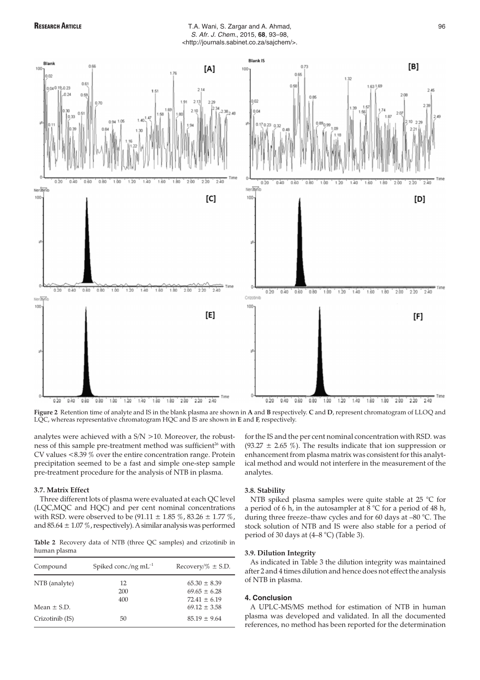

# RESEARCH ARTICLE **RESEARCH ARTICLE T.A. Wani, S. Zargar and A. Ahmad,** 96 S. Afr. J. Chem., 2015, **68**, 93–98, <http://journals.sabinet.co.za/sajchem/>.



**Figure 2** Retention time of analyte and IS in the blank plasma are shown in **A** and **B** respectively. **C** and **D**, represent chromatogram of LLOQ and LQC, whereas representative chromatogram HQC and IS are shown in **E** and **F**, respectively.

analytes were achieved with a S/N >10. Moreover, the robustness of this sample pre-treatment method was sufficient<sup>26</sup> with CV values <8.39 % over the entire concentration range. Protein precipitation seemed to be a fast and simple one-step sample pre-treatment procedure for the analysis of NTB in plasma.

## **3.7. Matrix Effect**

Three different lots of plasma were evaluated at each QC level (LQC,MQC and HQC) and per cent nominal concentrations with RSD. were observed to be  $(91.11 \pm 1.85\%, 83.26 \pm 1.77\%,$ and  $85.64 \pm 1.07\%$ , respectively). A similar analysis was performed

**Table 2** Recovery data of NTB (three QC samples) and crizotinib in human plasma

| Compound        | Spiked conc./ng $mL^{-1}$ | Recovery/% $\pm$ S.D.                                    |
|-----------------|---------------------------|----------------------------------------------------------|
| NTB (analyte)   | 12<br>200<br>400          | $65.30 \pm 8.39$<br>$69.65 \pm 6.28$<br>$72.41 \pm 6.19$ |
| Mean $\pm$ S.D. |                           | $69.12 \pm 3.58$                                         |
| Crizotinib (IS) | 50                        | $85.19 \pm 9.64$                                         |

for the IS and the per cent nominal concentration with RSD. was (93.27  $\pm$  2.65 %). The results indicate that ion suppression or enhancement from plasma matrix was consistent for this analytical method and would not interfere in the measurement of the analytes.

#### **3.8. Stability**

NTB spiked plasma samples were quite stable at 25 °C for a period of 6 h, in the autosampler at 8 °C for a period of 48 h, during three freeze–thaw cycles and for 60 days at –80 °C. The stock solution of NTB and IS were also stable for a period of period of 30 days at (4–8 °C) (Table 3).

# **3.9. Dilution Integrity**

As indicated in Table 3 the dilution integrity was maintained after 2 and 4 times dilution and hence does not effect the analysis of NTB in plasma.

# **4. Conclusion**

A UPLC-MS/MS method for estimation of NTB in human plasma was developed and validated. In all the documented references, no method has been reported for the determination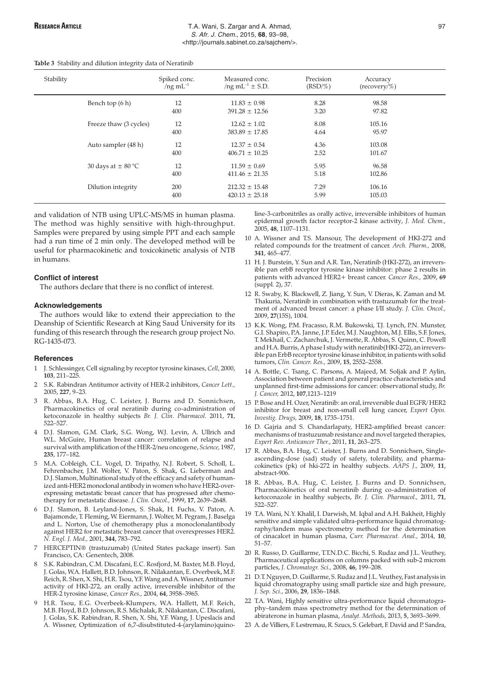#### **Table 3** Stability and dilution integrity data of Neratinib

| Stability |                        | Spiked conc.<br>$/$ ng m $L^{-1}$ | Measured conc.<br>$/$ ng mL <sup>-1</sup> $\pm$ S.D. | Precision<br>$(RSD/\%)$ | Accuracy<br>$(recovery/\%)$ |  |
|-----------|------------------------|-----------------------------------|------------------------------------------------------|-------------------------|-----------------------------|--|
|           | Bench top (6 h)        | 12                                | $11.83 \pm 0.98$                                     | 8.28                    | 98.58                       |  |
|           |                        | 400                               | $391.28 \pm 12.56$                                   | 3.20                    | 97.82                       |  |
|           | Freeze thaw (3 cycles) | 12                                | $12.62 \pm 1.02$                                     | 8.08                    | 105.16                      |  |
|           |                        | 400                               | $383.89 \pm 17.85$                                   | 4.64                    | 95.97                       |  |
|           | Auto sampler (48 h)    | 12                                | $12.37 \pm 0.54$                                     | 4.36                    | 103.08                      |  |
|           |                        | 400                               | $406.71 \pm 10.25$                                   | 2.52                    | 101.67                      |  |
|           | 30 days at $\pm$ 80 °C | 12                                | $11.59 \pm 0.69$                                     | 5.95                    | 96.58                       |  |
|           |                        | 400                               | $411.46 \pm 21.35$                                   | 5.18                    | 102.86                      |  |
|           | Dilution integrity     | 200                               | $212.32 \pm 15.48$                                   | 7.29                    | 106.16                      |  |
|           |                        | 400                               | $420.13 \pm 25.18$                                   | 5.99                    | 105.03                      |  |

and validation of NTB using UPLC-MS/MS in human plasma. The method was highly sensitive with high-throughput. Samples were prepared by using simple PPT and each sample had a run time of 2 min only. The developed method will be useful for pharmacokinetic and toxicokinetic analysis of NTB in humans.

#### **Conflict of interest**

The authors declare that there is no conflict of interest.

#### **Acknowledgements**

The authors would like to extend their appreciation to the Deanship of Scientific Research at King Saud University for its funding of this research through the research group project No. RG-1435-073.

# **References**

- 1 J. Schlessinger, Cell signaling by receptor tyrosine kinases, *Cell*, 2000, **103**, 211–225.
- 2 S.K. Rabindran Antitumor activity of HER-2 inhibitors, *Cancer Lett.,* 2005, **227**, 9–23.
- 3 R. Abbas, B.A. Hug, C. Leister, J. Burns and D. Sonnichsen, Pharmacokinetics of oral neratinib during co-administration of ketoconazole in healthy subjects *Br. J. Clin. Pharmacol.* 2011, **71**, 522–527.
- D.J. Slamon, G.M. Clark, S.G. Wong, W.J. Levin, A. Ullrich and W.L. McGuire, Human breast cancer: correlation of relapse and survival with amplification of the HER-2/neu oncogene, *Science,* 1987, **235**, 177–182.
- 5 M.A. Cobleigh, C.L. Vogel, D. Tripathy, N.J. Robert, S. Scholl, L. Fehrenbacher, J.M. Wolter, V. Paton, S. Shak, G. Lieberman and D.J. Slamon, Multinational study of the efficacy and safety of humanized anti-HER2 monoclonal antibody in women who have HER2-overexpressing metastatic breast cancer that has progressed after chemotherapy for metastatic disease. *J. Clin. Oncol.,* 1999, **17**, 2639–2648.
- 6 D.J. Slamon, B. Leyland-Jones, S. Shak, H. Fuchs, V. Paton, A. Bajamonde, T. Fleming, W. Eiermann, J. Wolter, M. Pegram, J. Baselga and L. Norton, Use of chemotherapy plus a monoclonalantibody against HER2 for metastatic breast cancer that overexpresses HER2. *N. Engl. J. Med.,* 2001, **344**, 783–792.
- 7 HERCEPTIN® (trastuzumab) (United States package insert). San Francisco, CA: Genentech, 2008.
- 8 S.K. Rabindran, C.M. Discafani, E.C. Rosfjord, M. Baxter, M.B. Floyd, J. Golas, W.A. Hallett, B.D. Johnson, R. Nilakantan, E. Overbeek, M.F. Reich, R. Shen, X. Shi, H.R. Tsou, Y.F. Wang and A. Wissner, Antitumor activity of HKI-272, an orally active, irreversible inhibitor of the HER-2 tyrosine kinase, *Cancer Res.,* 2004, **64**, 3958–3965.
- 9 H.R. Tsou, E.G. Overbeek-Klumpers, W.A. Hallett, M.F. Reich, M.B. Floyd, B.D. Johnson, R.S. Michalak, R. Nilakantan, C. Discafani, J. Golas, S.K. Rabindran, R. Shen, X. Shi, Y.F. Wang, J. Upeslacis and A. Wissner, Optimization of 6,7-disubstituted-4-(arylamino)quino-

line-3-carbonitriles as orally active, irreversible inhibitors of human epidermal growth factor receptor-2 kinase activity, *J. Med. Chem.,* 2005, **48**, 1107–1131.

- 10 A. Wissner and T.S. Mansour, The development of HKI-272 and related compounds for the treatment of cancer. *Arch. Pharm.,* 2008, **341**, 465–477.
- 11 H. J. Burstein, Y. Sun and A.R. Tan, Neratinib (HKI-272), an irreversible pan erbB receptor tyrosine kinase inhibitor: phase 2 results in patients with advanced HER2+ breast cancer. *Cancer Res.,* 2009, **69** (suppl. 2), 37.
- 12 R. Swaby, K. Blackwell, Z. Jiang, Y. Sun, V. Dieras, K. Zaman and M. Thakuria, Neratinib in combination with trastuzumab for the treatment of advanced breast cancer: a phase I/II study. *J. Clin. Oncol.,* 2009, **27**(15S), 1004.
- 13 K.K. Wong, P.M. Fracasso, R.M. Bukowski, T.J. Lynch, P.N. Munster, G.I. Shapiro, P.A. Janne, J.P. Eder, M.J. Naughton, M.J. Ellis, S.F. Jones, T. Mekhail, C. Zacharchuk, J. Vermette, R. Abbas, S. Quinn, C. Powell and H.A. Burris, A phase I study with neratinib(HKI-272), an irreversible pan ErbB receptor tyrosine kinase inhibitor, in patients with solid tumors, *Clin. Cancer. Res.,* 2009, **15**, 2552–2558.
- 14 A. Bottle, C. Tsang, C. Parsons, A. Majeed, M. Soljak and P. Aylin, Association between patient and general practice characteristics and unplanned first-time admissions for cancer: observational study, *Br. J. Cancer,* 2012, **107**,1213–1219
- 15 P. Bose and H. Ozer, Neratinib: an oral, irreversible dual EGFR/ HER2 inhibitor for breast and non-small cell lung cancer, *Expert Opin. Investig. Drugs,* 2009, **18**, 1735–1751.
- 16 D. Gajria and S. Chandarlapaty, HER2-amplified breast cancer: mechanisms of trastuzumab resistance and novel targeted therapies, *Expert Rev. Anticancer Ther.*, 2011, **11**, 263–275.
- 17 R. Abbas, B.A. Hug, C. Leister, J. Burns and D. Sonnichsen, Singleascending-dose (sad) study of safety, tolerability, and pharmacokinetics (pk) of hki-272 in healthy subjects. *AAPS J.,* 2009, **11**, abstract-906.
- 18 R. Abbas, B.A. Hug, C. Leister, J. Burns and D. Sonnichsen, Pharmacokinetics of oral neratinib during co-administration of ketoconazole in healthy subjects, *Br. J. Clin. Pharmacol.,* 2011, **71**, 522–527.
- 19 T.A. Wani, N.Y. Khalil, I. Darwish, M. Iqbal and A.H. Bakheit, Highly sensitive and simple validated ultra-performance liquid chromatography/tandem mass spectrometry method for the determination of cinacalcet in human plasma, *Curr. Pharmaceut. Anal.,* 2014, **10**, 51–57.
- 20 R. Russo, D. Guillarme, T.T.N.D.C. Bicchi, S. Rudaz and J.L. Veuthey, Pharmaceutical applications on columns packed with sub-2 microm particles, *J. Chromatogr. Sci.,* 2008, **46**, 199–208.
- 21 D.T. Nguyen, D. Guillarme, S. Rudaz and J.L. Veuthey, Fast analysis in liquid chromatography using small particle size and high pressure, *J. Sep. Sci.*, 2006, **29**, 1836–1848.
- 22 T.A. Wani, Highly sensitive ultra-performance liquid chromatography–tandem mass spectrometry method for the determination of abiraterone in human plasma, *Analyt. Methods,* 2013, **5**, 3693–3699.
- 23 A. de Villiers, F. Lestremau, R. Szucs, S. Gelebart, F. David and P. Sandra,